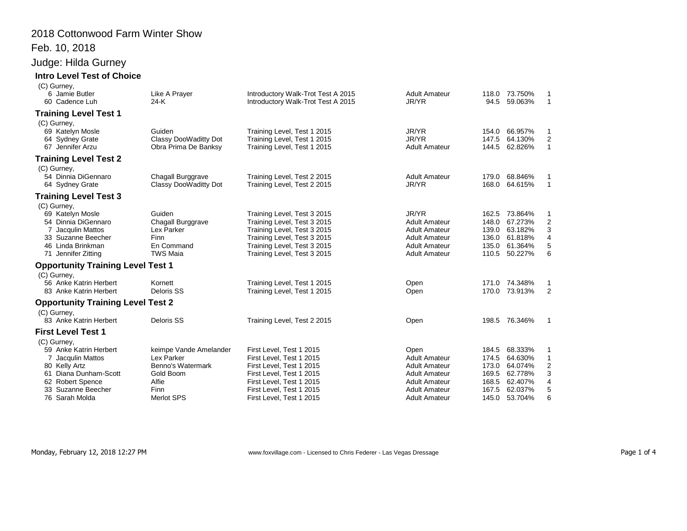## 2018 Cottonwood Farm Winter Show

#### Feb. 10, 2018

## Judge: Hilda Gurney

#### **Intro Level Test of Choice** (C) Gurney,

| $(v)$ valuey,<br>6 Jamie Butler<br>60 Cadence Luh                                                                                                                                                                                                                                                                                                 | Like A Prayer<br>$24-K$                                                                                                   | Introductory Walk-Trot Test A 2015<br>Introductory Walk-Trot Test A 2015                                                                                                                                                                                                            | <b>Adult Amateur</b><br>JR/YR                                                                                                                         |                                                    | 118.0 73.750%<br>94.5 59.063%                                                                                     | 1<br>$\mathbf{1}$                                                                        |
|---------------------------------------------------------------------------------------------------------------------------------------------------------------------------------------------------------------------------------------------------------------------------------------------------------------------------------------------------|---------------------------------------------------------------------------------------------------------------------------|-------------------------------------------------------------------------------------------------------------------------------------------------------------------------------------------------------------------------------------------------------------------------------------|-------------------------------------------------------------------------------------------------------------------------------------------------------|----------------------------------------------------|-------------------------------------------------------------------------------------------------------------------|------------------------------------------------------------------------------------------|
| <b>Training Level Test 1</b>                                                                                                                                                                                                                                                                                                                      |                                                                                                                           |                                                                                                                                                                                                                                                                                     |                                                                                                                                                       |                                                    |                                                                                                                   |                                                                                          |
| (C) Gurney,<br>69 Katelyn Mosle<br>64 Sydney Grate<br>67 Jennifer Arzu                                                                                                                                                                                                                                                                            | Guiden<br>Classy DooWaditty Dot<br>Obra Prima De Banksy                                                                   | Training Level, Test 1 2015<br>Training Level, Test 1 2015<br>Training Level, Test 1 2015                                                                                                                                                                                           | JR/YR<br>JR/YR<br><b>Adult Amateur</b>                                                                                                                | 154.0<br>147.5<br>144.5                            | 66.957%<br>64.130%<br>62.826%                                                                                     | 1<br>$\overline{\mathbf{c}}$<br>$\mathbf{1}$                                             |
| <b>Training Level Test 2</b>                                                                                                                                                                                                                                                                                                                      |                                                                                                                           |                                                                                                                                                                                                                                                                                     |                                                                                                                                                       |                                                    |                                                                                                                   |                                                                                          |
| (C) Gurney,<br>54 Dinnia DiGennaro<br>64 Sydney Grate                                                                                                                                                                                                                                                                                             | Chagall Burggrave<br>Classy DooWaditty Dot                                                                                | Training Level, Test 2 2015<br>Training Level, Test 2 2015                                                                                                                                                                                                                          | <b>Adult Amateur</b><br>JR/YR                                                                                                                         | 179.0<br>168.0                                     | 68.846%<br>64.615%                                                                                                | 1<br>$\mathbf{1}$                                                                        |
| <b>Training Level Test 3</b>                                                                                                                                                                                                                                                                                                                      |                                                                                                                           |                                                                                                                                                                                                                                                                                     |                                                                                                                                                       |                                                    |                                                                                                                   |                                                                                          |
| (C) Gurney,<br>69 Katelyn Mosle<br>54 Dinnia DiGennaro<br>7 Jacqulin Mattos<br>33 Suzanne Beecher<br>46 Linda Brinkman<br>71 Jennifer Zitting<br><b>Opportunity Training Level Test 1</b><br>(C) Gurney,<br>56 Anke Katrin Herbert<br>83 Anke Katrin Herbert<br><b>Opportunity Training Level Test 2</b><br>(C) Gurney,<br>83 Anke Katrin Herbert | Guiden<br>Chagall Burggrave<br>Lex Parker<br>Finn<br>En Command<br><b>TWS Maia</b><br>Kornett<br>Deloris SS<br>Deloris SS | Training Level, Test 3 2015<br>Training Level, Test 3 2015<br>Training Level, Test 3 2015<br>Training Level, Test 3 2015<br>Training Level, Test 3 2015<br>Training Level, Test 3 2015<br>Training Level, Test 1 2015<br>Training Level, Test 1 2015<br>Training Level, Test 2 2015 | JR/YR<br><b>Adult Amateur</b><br><b>Adult Amateur</b><br><b>Adult Amateur</b><br><b>Adult Amateur</b><br><b>Adult Amateur</b><br>Open<br>Open<br>Open | 162.5<br>148.0<br>139.0<br>136.0<br>135.0<br>110.5 | 73.864%<br>67.273%<br>63.182%<br>61.818%<br>61.364%<br>50.227%<br>171.0 74.348%<br>170.0 73.913%<br>198.5 76.346% | 1<br>$\boldsymbol{2}$<br>3<br>$\overline{\mathbf{4}}$<br>$\mathbf 5$<br>6<br>1<br>2<br>1 |
|                                                                                                                                                                                                                                                                                                                                                   |                                                                                                                           |                                                                                                                                                                                                                                                                                     |                                                                                                                                                       |                                                    |                                                                                                                   |                                                                                          |
| <b>First Level Test 1</b><br>(C) Gurney,                                                                                                                                                                                                                                                                                                          |                                                                                                                           |                                                                                                                                                                                                                                                                                     |                                                                                                                                                       |                                                    |                                                                                                                   |                                                                                          |
| 59 Anke Katrin Herbert                                                                                                                                                                                                                                                                                                                            | keimpe Vande Amelander<br>Lex Parker                                                                                      | First Level, Test 1 2015                                                                                                                                                                                                                                                            | Open                                                                                                                                                  | 184.5                                              | 68.333%                                                                                                           | 1                                                                                        |
| Jacqulin Mattos<br>80 Kelly Artz                                                                                                                                                                                                                                                                                                                  | Benno's Watermark                                                                                                         | First Level, Test 1 2015<br>First Level, Test 1 2015                                                                                                                                                                                                                                | <b>Adult Amateur</b><br><b>Adult Amateur</b>                                                                                                          | 174.5<br>173.0                                     | 64.630%<br>64.074%                                                                                                | 1                                                                                        |
| 61 Diana Dunham-Scott                                                                                                                                                                                                                                                                                                                             | Gold Boom                                                                                                                 | First Level, Test 1 2015                                                                                                                                                                                                                                                            | <b>Adult Amateur</b>                                                                                                                                  | 169.5                                              | 62.778%                                                                                                           | $\frac{2}{3}$                                                                            |
| 62 Robert Spence                                                                                                                                                                                                                                                                                                                                  | Alfie                                                                                                                     | First Level, Test 1 2015                                                                                                                                                                                                                                                            | <b>Adult Amateur</b>                                                                                                                                  | 168.5                                              | 62.407%                                                                                                           | $\overline{\mathbf{4}}$                                                                  |
| 33 Suzanne Beecher                                                                                                                                                                                                                                                                                                                                | Finn                                                                                                                      | First Level, Test 1 2015                                                                                                                                                                                                                                                            | <b>Adult Amateur</b>                                                                                                                                  | 167.5                                              | 62.037%                                                                                                           | 5                                                                                        |
| 76 Sarah Molda                                                                                                                                                                                                                                                                                                                                    | Merlot SPS                                                                                                                | First Level, Test 1 2015                                                                                                                                                                                                                                                            | <b>Adult Amateur</b>                                                                                                                                  | 145.0                                              | 53.704%                                                                                                           | 6                                                                                        |

Monday, February 12, 2018 12:27 PM www.foxvillage.com - Licensed to Chris Federer - Las Vegas Dressage Page 1 of 4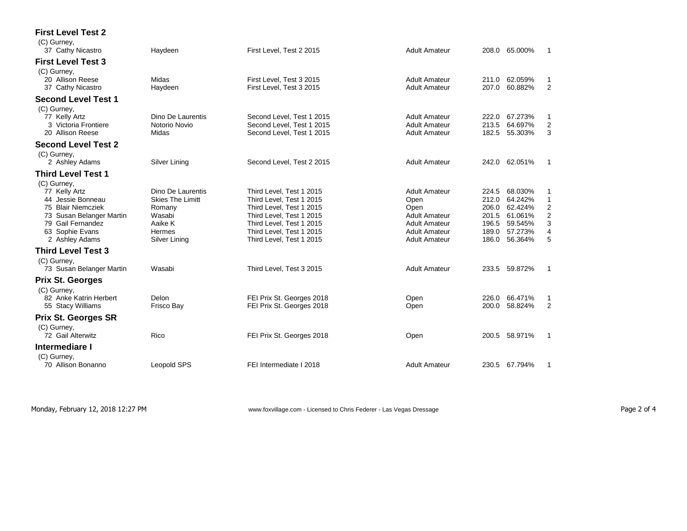| <b>First Level Test 2</b>                                                                                                                                     |                                                                                                        |                                                                                                                                                                                                  |                                                                                                                                      |                                                                                                                                                                                                       |
|---------------------------------------------------------------------------------------------------------------------------------------------------------------|--------------------------------------------------------------------------------------------------------|--------------------------------------------------------------------------------------------------------------------------------------------------------------------------------------------------|--------------------------------------------------------------------------------------------------------------------------------------|-------------------------------------------------------------------------------------------------------------------------------------------------------------------------------------------------------|
| (C) Gurney,<br>37 Cathy Nicastro                                                                                                                              | Haydeen                                                                                                | First Level, Test 2 2015                                                                                                                                                                         | <b>Adult Amateur</b>                                                                                                                 | 65.000%<br>208.0<br>1                                                                                                                                                                                 |
| <b>First Level Test 3</b>                                                                                                                                     |                                                                                                        |                                                                                                                                                                                                  |                                                                                                                                      |                                                                                                                                                                                                       |
| (C) Gurney,<br>20 Allison Reese<br>37 Cathy Nicastro                                                                                                          | Midas<br>Haydeen                                                                                       | First Level, Test 3 2015<br>First Level, Test 3 2015                                                                                                                                             | <b>Adult Amateur</b><br><b>Adult Amateur</b>                                                                                         | 211.0<br>62.059%<br>1<br>60.882%<br>2<br>207.0                                                                                                                                                        |
| <b>Second Level Test 1</b>                                                                                                                                    |                                                                                                        |                                                                                                                                                                                                  |                                                                                                                                      |                                                                                                                                                                                                       |
| (C) Gurney,<br>77 Kelly Artz<br>3 Victoria Frontiere<br>20 Allison Reese                                                                                      | Dino De Laurentis<br>Notorio Novio<br>Midas                                                            | Second Level, Test 1 2015<br>Second Level. Test 1 2015<br>Second Level, Test 1 2015                                                                                                              | <b>Adult Amateur</b><br><b>Adult Amateur</b><br><b>Adult Amateur</b>                                                                 | 67.273%<br>222.0<br>1<br>$\overline{2}$<br>64.697%<br>213.5<br>3<br>182.5<br>55.303%                                                                                                                  |
| <b>Second Level Test 2</b>                                                                                                                                    |                                                                                                        |                                                                                                                                                                                                  |                                                                                                                                      |                                                                                                                                                                                                       |
| (C) Gurney,<br>2 Ashley Adams                                                                                                                                 | Silver Lining                                                                                          | Second Level, Test 2 2015                                                                                                                                                                        | <b>Adult Amateur</b>                                                                                                                 | 242.0 62.051%<br>1                                                                                                                                                                                    |
| <b>Third Level Test 1</b>                                                                                                                                     |                                                                                                        |                                                                                                                                                                                                  |                                                                                                                                      |                                                                                                                                                                                                       |
| (C) Gurney,<br>77 Kelly Artz<br>44 Jessie Bonneau<br>75 Blair Niemcziek<br>73 Susan Belanger Martin<br>79 Gail Fernandez<br>63 Sophie Evans<br>2 Ashley Adams | Dino De Laurentis<br><b>Skies The Limitt</b><br>Romany<br>Wasabi<br>Aaike K<br>Hermes<br>Silver Lining | Third Level. Test 1 2015<br>Third Level, Test 1 2015<br>Third Level, Test 1 2015<br>Third Level, Test 1 2015<br>Third Level, Test 1 2015<br>Third Level, Test 1 2015<br>Third Level, Test 1 2015 | <b>Adult Amateur</b><br>Open<br>Open<br><b>Adult Amateur</b><br><b>Adult Amateur</b><br><b>Adult Amateur</b><br><b>Adult Amateur</b> | 68.030%<br>224.5<br>1<br>64.242%<br>1<br>212.0<br>$\overline{2}$<br>206.0<br>62.424%<br>$\overline{c}$<br>61.061%<br>201.5<br>3<br>59.545%<br>196.5<br>4<br>57.273%<br>189.0<br>5<br>56.364%<br>186.0 |
| <b>Third Level Test 3</b>                                                                                                                                     |                                                                                                        |                                                                                                                                                                                                  |                                                                                                                                      |                                                                                                                                                                                                       |
| (C) Gurney,<br>73 Susan Belanger Martin                                                                                                                       | Wasabi                                                                                                 | Third Level, Test 3 2015                                                                                                                                                                         | <b>Adult Amateur</b>                                                                                                                 | 233.5 59.872%<br>1                                                                                                                                                                                    |
| <b>Prix St. Georges</b><br>(C) Gurney,                                                                                                                        |                                                                                                        |                                                                                                                                                                                                  |                                                                                                                                      |                                                                                                                                                                                                       |
| 82 Anke Katrin Herbert<br>55 Stacy Williams                                                                                                                   | Delon<br>Frisco Bay                                                                                    | FEI Prix St. Georges 2018<br>FEI Prix St. Georges 2018                                                                                                                                           | Open<br>Open                                                                                                                         | 66.471%<br>226.0<br>1<br>$\overline{2}$<br>58.824%<br>200.0                                                                                                                                           |
| <b>Prix St. Georges SR</b><br>(C) Gurney,                                                                                                                     |                                                                                                        |                                                                                                                                                                                                  |                                                                                                                                      |                                                                                                                                                                                                       |
| 72 Gail Alterwitz                                                                                                                                             | Rico                                                                                                   | FEI Prix St. Georges 2018                                                                                                                                                                        | Open                                                                                                                                 | 58.971%<br>200.5<br>1                                                                                                                                                                                 |
| Intermediare I<br>(C) Gurney,                                                                                                                                 |                                                                                                        |                                                                                                                                                                                                  |                                                                                                                                      |                                                                                                                                                                                                       |
| 70 Allison Bonanno                                                                                                                                            | <b>Leopold SPS</b>                                                                                     | FEI Intermediate I 2018                                                                                                                                                                          | <b>Adult Amateur</b>                                                                                                                 | 230.5 67.794%<br>1                                                                                                                                                                                    |

Monday, February 12, 2018 12:27 PM **WWW.foxvillage.com - Licensed to Chris Federer** - Las Vegas Dressage Page 2 of 4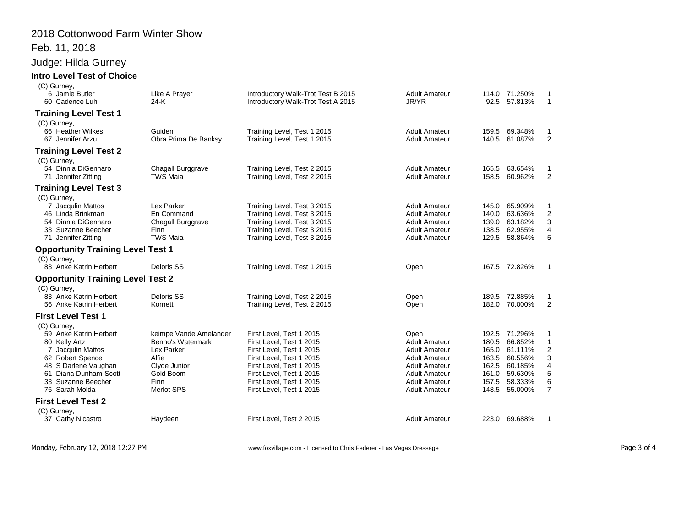#### 2018 Cottonwood Farm Winter Show

# Feb. 11, 2018

## Judge: Hilda Gurney

#### **Intro Level Test of Choice**

| (C) Gurney,<br>6 Jamie Butler<br>60 Cadence Luh                                                                                                                                          | Like A Prayer<br>24-K                                                                                                        | Introductory Walk-Trot Test B 2015<br>Introductory Walk-Trot Test A 2015                                                                                                                                                     | <b>Adult Amateur</b><br>JR/YR                                                                                                                                                | 92.5                                                                 | 114.0 71.250%<br>57.813%                                                             | $\mathbf{1}$                                                 |
|------------------------------------------------------------------------------------------------------------------------------------------------------------------------------------------|------------------------------------------------------------------------------------------------------------------------------|------------------------------------------------------------------------------------------------------------------------------------------------------------------------------------------------------------------------------|------------------------------------------------------------------------------------------------------------------------------------------------------------------------------|----------------------------------------------------------------------|--------------------------------------------------------------------------------------|--------------------------------------------------------------|
| <b>Training Level Test 1</b>                                                                                                                                                             |                                                                                                                              |                                                                                                                                                                                                                              |                                                                                                                                                                              |                                                                      |                                                                                      |                                                              |
| (C) Gurney,<br>66 Heather Wilkes<br>67 Jennifer Arzu                                                                                                                                     | Guiden<br>Obra Prima De Banksy                                                                                               | Training Level, Test 1 2015<br>Training Level, Test 1 2015                                                                                                                                                                   | <b>Adult Amateur</b><br><b>Adult Amateur</b>                                                                                                                                 | 159.5<br>140.5                                                       | 69.348%<br>61.087%                                                                   | $\overline{2}$                                               |
| <b>Training Level Test 2</b>                                                                                                                                                             |                                                                                                                              |                                                                                                                                                                                                                              |                                                                                                                                                                              |                                                                      |                                                                                      |                                                              |
| (C) Gurney,<br>54 Dinnia DiGennaro<br>71 Jennifer Zitting                                                                                                                                | Chagall Burggrave<br><b>TWS Maia</b>                                                                                         | Training Level, Test 2 2015<br>Training Level, Test 2 2015                                                                                                                                                                   | <b>Adult Amateur</b><br><b>Adult Amateur</b>                                                                                                                                 | 165.5<br>158.5                                                       | 63.654%<br>60.962%                                                                   | 1<br>2                                                       |
| <b>Training Level Test 3</b>                                                                                                                                                             |                                                                                                                              |                                                                                                                                                                                                                              |                                                                                                                                                                              |                                                                      |                                                                                      |                                                              |
| (C) Gurney,<br>7 Jacqulin Mattos<br>46 Linda Brinkman<br>54 Dinnia DiGennaro<br>33 Suzanne Beecher<br>71 Jennifer Zitting                                                                | Lex Parker<br>En Command<br>Chagall Burggrave<br><b>Finn</b><br><b>TWS Maia</b>                                              | Training Level, Test 3 2015<br>Training Level, Test 3 2015<br>Training Level, Test 3 2015<br>Training Level, Test 3 2015<br>Training Level, Test 3 2015                                                                      | <b>Adult Amateur</b><br><b>Adult Amateur</b><br><b>Adult Amateur</b><br><b>Adult Amateur</b><br><b>Adult Amateur</b>                                                         | 145.0<br>140.0<br>139.0<br>138.5<br>129.5                            | 65.909%<br>63.636%<br>63.182%<br>62.955%<br>58.864%                                  | -1<br>$\boldsymbol{2}$<br>3<br>4<br>5                        |
| <b>Opportunity Training Level Test 1</b>                                                                                                                                                 |                                                                                                                              |                                                                                                                                                                                                                              |                                                                                                                                                                              |                                                                      |                                                                                      |                                                              |
| (C) Gurney,<br>83 Anke Katrin Herbert                                                                                                                                                    | Deloris SS                                                                                                                   | Training Level, Test 1 2015                                                                                                                                                                                                  | Open                                                                                                                                                                         |                                                                      | 167.5 72.826%                                                                        | $\mathbf{1}$                                                 |
| <b>Opportunity Training Level Test 2</b>                                                                                                                                                 |                                                                                                                              |                                                                                                                                                                                                                              |                                                                                                                                                                              |                                                                      |                                                                                      |                                                              |
| (C) Gurney,<br>83 Anke Katrin Herbert<br>56 Anke Katrin Herbert                                                                                                                          | Deloris SS<br>Kornett                                                                                                        | Training Level, Test 2 2015<br>Training Level, Test 2 2015                                                                                                                                                                   | Open<br>Open                                                                                                                                                                 |                                                                      | 189.5 72.885%<br>182.0 70.000%                                                       | 1<br>2                                                       |
| <b>First Level Test 1</b>                                                                                                                                                                |                                                                                                                              |                                                                                                                                                                                                                              |                                                                                                                                                                              |                                                                      |                                                                                      |                                                              |
| (C) Gurney,<br>59 Anke Katrin Herbert<br>80 Kelly Artz<br>7 Jacqulin Mattos<br>62 Robert Spence<br>48 S Darlene Vaughan<br>61 Diana Dunham-Scott<br>33 Suzanne Beecher<br>76 Sarah Molda | keimpe Vande Amelander<br>Benno's Watermark<br>Lex Parker<br>Alfie<br>Clyde Junior<br>Gold Boom<br><b>Finn</b><br>Merlot SPS | First Level, Test 1 2015<br>First Level, Test 1 2015<br>First Level, Test 1 2015<br>First Level, Test 1 2015<br>First Level, Test 1 2015<br>First Level, Test 1 2015<br>First Level, Test 1 2015<br>First Level, Test 1 2015 | Open<br><b>Adult Amateur</b><br><b>Adult Amateur</b><br><b>Adult Amateur</b><br><b>Adult Amateur</b><br><b>Adult Amateur</b><br><b>Adult Amateur</b><br><b>Adult Amateur</b> | 192.5<br>180.5<br>165.0<br>163.5<br>162.5<br>161.0<br>157.5<br>148.5 | 71.296%<br>66.852%<br>61.111%<br>60.556%<br>60.185%<br>59.630%<br>58.333%<br>55.000% | 1<br>$\mathbf{1}$<br>2<br>3<br>4<br>5<br>6<br>$\overline{7}$ |
| <b>First Level Test 2</b>                                                                                                                                                                |                                                                                                                              |                                                                                                                                                                                                                              |                                                                                                                                                                              |                                                                      |                                                                                      |                                                              |
| (C) Gurney,<br>37 Cathy Nicastro                                                                                                                                                         | Haydeen                                                                                                                      | First Level, Test 2 2015                                                                                                                                                                                                     | <b>Adult Amateur</b>                                                                                                                                                         |                                                                      | 223.0 69.688%                                                                        | $\overline{1}$                                               |

Monday, February 12, 2018 12:27 PM **WRTH** www.foxvillage.com - Licensed to Chris Federer - Las Vegas Dressage Page 3 of 4